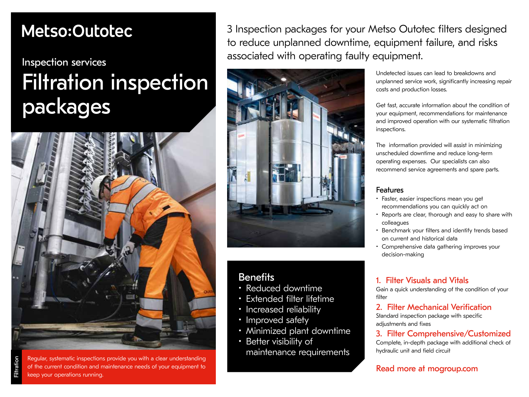## Metso:Outotec

## Inspection services Filtration inspection packages



Regular, systematic inspections provide you with a clear understanding of the current condition and maintenance needs of your equipment to keep your operations running.

3 Inspection packages for your Metso Outotec filters designed to reduce unplanned downtime, equipment failure, and risks associated with operating faulty equipment.



### **Benefits**

- Reduced downtime
- Extended filter lifetime
- Increased reliability
- Improved safety
- Minimized plant downtime
- Better visibility of maintenance requirements

Undetected issues can lead to breakdowns and unplanned service work, significantly increasing repair costs and production losses.

Get fast, accurate information about the condition of your equipment, recommendations for maintenance and improved operation with our systematic filtration inspections.

The information provided will assist in minimizing unscheduled downtime and reduce long-term operating expenses. Our specialists can also recommend service agreements and spare parts.

#### Features

- Faster, easier inspections mean you get recommendations you can quickly act on
- Reports are clear, thorough and easy to share with colleagues
- Benchmark your filters and identify trends based on current and historical data
- Comprehensive data gathering improves your decision-making

#### 1. Filter Visuals and Vitals

Gain a quick understanding of the condition of your filter

#### 2. Filter Mechanical Verification

Standard inspection package with specific adjustments and fixes

#### 3. Filter Comprehensive/Customized

Complete, in-depth package with additional check of hydraulic unit and field circuit

Read more at mogroup.com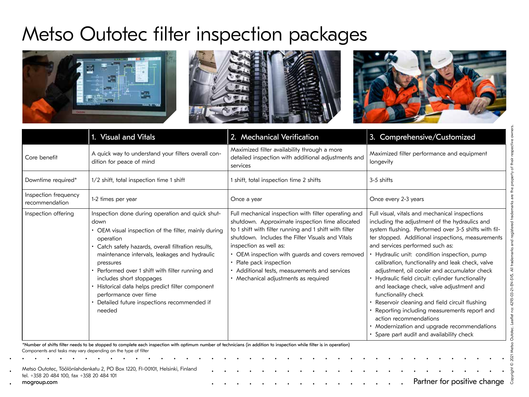# Metso Outotec filter inspection packages



|                                        | 1. Visual and Vitals                                                                                                                                                                                                                                                                                                                                                                                                                                                    | 2. Mechanical Verification                                                                                                                                                                                                                                                                                                                                                                                             | 3. Comprehensive/Customized                                                                                                                                                                                                                                                                                                                                                                                                                                                                                                                                                                                                                                                                                                                    |  |  |
|----------------------------------------|-------------------------------------------------------------------------------------------------------------------------------------------------------------------------------------------------------------------------------------------------------------------------------------------------------------------------------------------------------------------------------------------------------------------------------------------------------------------------|------------------------------------------------------------------------------------------------------------------------------------------------------------------------------------------------------------------------------------------------------------------------------------------------------------------------------------------------------------------------------------------------------------------------|------------------------------------------------------------------------------------------------------------------------------------------------------------------------------------------------------------------------------------------------------------------------------------------------------------------------------------------------------------------------------------------------------------------------------------------------------------------------------------------------------------------------------------------------------------------------------------------------------------------------------------------------------------------------------------------------------------------------------------------------|--|--|
| Core benefit                           | A quick way to understand your filters overall con-<br>dition for peace of mind                                                                                                                                                                                                                                                                                                                                                                                         | Maximized filter availability through a more<br>detailed inspection with additional adjustments and<br>services                                                                                                                                                                                                                                                                                                        | Maximized filter performance and equipment<br>longevity                                                                                                                                                                                                                                                                                                                                                                                                                                                                                                                                                                                                                                                                                        |  |  |
| Downtime required*                     | 1/2 shift, total inspection time 1 shift                                                                                                                                                                                                                                                                                                                                                                                                                                | shift, total inspection time 2 shifts                                                                                                                                                                                                                                                                                                                                                                                  | 3-5 shifts                                                                                                                                                                                                                                                                                                                                                                                                                                                                                                                                                                                                                                                                                                                                     |  |  |
| Inspection frequency<br>recommendation | 1-2 times per year                                                                                                                                                                                                                                                                                                                                                                                                                                                      | Once a year                                                                                                                                                                                                                                                                                                                                                                                                            | Once every 2-3 years                                                                                                                                                                                                                                                                                                                                                                                                                                                                                                                                                                                                                                                                                                                           |  |  |
| Inspection offering                    | Inspection done during operation and quick shut-<br>down<br>• OEM visual inspection of the filter, mainly during<br>operation<br>· Catch safety hazards, overall filtration results,<br>maintenance intervals, leakages and hydraulic<br>pressures<br>• Performed over 1 shift with filter running and<br>includes short stoppages<br>· Historical data helps predict filter component<br>performance over time<br>Detailed future inspections recommended if<br>needed | Full mechanical inspection with filter operating and<br>shutdown. Approximate inspection time allocated<br>to 1 shift with filter running and 1 shift with filter<br>shutdown. Includes the Filter Visuals and Vitals<br>inspection as well as:<br>• OEM inspection with guards and covers removed<br>• Plate pack inspection<br>• Additional tests, measurements and services<br>• Mechanical adjustments as required | Full visual, vitals and mechanical inspections<br>including the adjustment of the hydraulics and<br>system flushing. Performed over 3-5 shifts with fil-<br>ter stopped. Additional inspections, measurements<br>and services performed such as:<br>Hydraulic unit: condition inspection, pump<br>calibration, functionality and leak check, valve<br>adjustment, oil cooler and accumulator check<br>Hydraulic field circuit: cylinder functionality<br>and leackage check, valve adjustment and<br>functionality check<br>Reservoir cleaning and field circuit flushing<br>Reporting including measurements report and<br>action recommendations<br>• Modernization and upgrade recommendations<br>• Spare part audit and availability check |  |  |

Partner for positive change Metso Outotec, Töölönlahdenkatu 2, PO Box 1220, FI-00101, Helsinki, Finland tel. +358 20 484 100, fax +358 20 484 101 mogroup.com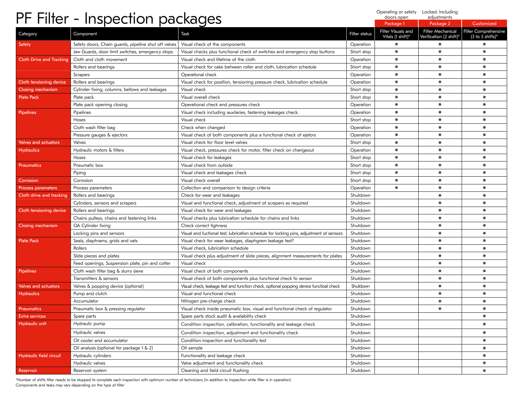| PF Filter - Inspection packages |                                                      |                                                                                         |                      | Operating or safety Locked. Including<br>doors open | adjustments                                  |                                                                     |
|---------------------------------|------------------------------------------------------|-----------------------------------------------------------------------------------------|----------------------|-----------------------------------------------------|----------------------------------------------|---------------------------------------------------------------------|
|                                 |                                                      |                                                                                         |                      | Package 1                                           | Package 2                                    | Customized                                                          |
| Category                        | Component                                            | Task                                                                                    | <b>Filter status</b> | Filter Visuals and<br>Vitals (1 shift)*             | Filter Mechanical<br>Verification (2 shift)* | <b>Filter Comprehensive</b><br>$(3 \text{ to } 5 \text{ shifts})^*$ |
| Safety                          | Safety doors, Chain guards, pipeline shut off valves | Visual check of the components                                                          | Operation            | $\bullet$                                           | $\bullet$                                    | $\bullet$                                                           |
|                                 | Jaw Guards, door limit switches, emergency stops     | Visual checks plus functional check of switches and emergency stop buttons              | Short stop           | $\bullet$                                           | $\bullet$                                    | $\bullet$                                                           |
| <b>Cloth Drive and Tracking</b> | Cloth and cloth movement                             | Visual check and lifetime of the cloth                                                  | Operation            | $\bullet$                                           | ٠                                            | $\bullet$                                                           |
|                                 | Rollers and bearings                                 | Visual check for cake between roller and cloth, lubrication schedule                    | Short stop           | $\bullet$                                           | $\bullet$                                    | $\bullet$                                                           |
|                                 | Scrapers                                             | Operational check                                                                       | Operation            | 0                                                   | ٠                                            | $\bullet$                                                           |
| Cloth tensioning device         | Rollers and bearings                                 | Visual check for position, tensioning pressure check, lubrication schedule              | Operation            | $\bullet$                                           | ٠                                            | $\bullet$                                                           |
| <b>Closing mechanism</b>        | Cylinder fixing, columns, bellows and leakages       | Visual check                                                                            | Short stop           | $\bullet$                                           | $\bullet$                                    | $\bullet$                                                           |
| <b>Plate Pack</b>               | Plate pack                                           | Visual overall check                                                                    | Short stop           | $\bullet$                                           | $\bullet$                                    | $\bullet$                                                           |
|                                 | Plate pack opening closing                           | Operational check and pressures check                                                   | Operation            | $\bullet$                                           | $\bullet$                                    | $\bullet$                                                           |
| <b>Pipelines</b>                | Pipelines                                            | Visual check including auxilaries, fastening leakages check.                            | Operation            | ٠                                                   | $\bullet$                                    | $\bullet$                                                           |
|                                 | Hoses                                                | Visual check                                                                            | Short stop           | $\bullet$                                           | $\bullet$                                    | $\bullet$                                                           |
|                                 | Cloth wash filter bag                                | Check when changed                                                                      | Operation            | $\bullet$                                           | ٠                                            | $\bullet$                                                           |
|                                 | Pressure gauges & ejectors                           | Visual check of both components plus a functional check of ejetors                      | Operation            | $\bullet$                                           | $\bullet$                                    | $\bullet$                                                           |
| <b>Valves and actuators</b>     | Valves                                               | Visual check for floor level valves                                                     | Short stop           | $\bullet$                                           | ٠                                            | $\bullet$                                                           |
| <b>Hydraulics</b>               | Hydraulic motors & filters                           | Visual check, pressures check for motor, filter check on changeout                      | Operation            | $\bullet$                                           | ٠                                            | $\bullet$                                                           |
|                                 | Hoses                                                | Visual check for leakages                                                               | Short stop           | $\bullet$                                           | $\bullet$                                    | $\bullet$                                                           |
| <b>Pneumatics</b>               | Pneumatic box                                        | Visual check from outside                                                               | Short stop           | $\bullet$                                           | $\bullet$                                    | $\bullet$                                                           |
|                                 | Piping                                               | Visual check and leakages check                                                         | Short stop           | $\bullet$                                           | $\bullet$                                    | $\bullet$                                                           |
| Corrosion                       | Corrosion                                            | Visual check overall                                                                    | Short stop           | $\bullet$                                           | ٠                                            | $\bullet$                                                           |
| <b>Process parameters</b>       | Process parameters                                   | Collection and comparison to design criteria                                            | Operation            | $\bullet$                                           | ٠                                            | $\bullet$                                                           |
| Cloth drive and tracking        | Rollers and bearings                                 | Check for wear and leakages                                                             | Shutdown             |                                                     | $\bullet$                                    | $\bullet$                                                           |
|                                 | Cylinders, sensors and scrapers                      | Visual and functional check, adjustment of scrapers as required                         | Shutdown             |                                                     | $\bullet$                                    | $\bullet$                                                           |
| Cloth tensioning device         | Rollers and bearings                                 | Visual check for wear and leakages                                                      | Shutdown             |                                                     | $\bullet$                                    | $\bullet$                                                           |
|                                 | Chains pulleys, chains and fastening links           | Visual checks plus lubrication schedule for chains and links                            | Shutdown             |                                                     | ٠                                            | $\bullet$                                                           |
| Closing mechanism               | QA Cylinder fixing                                   | Check correct tighness                                                                  | Shutdown             |                                                     | $\bullet$                                    | $\bullet$                                                           |
|                                 | Locking pins and sensors                             | Visual and fuctional test, lubrication schedule for locking pins, adjustment of sensors | Shutdown             |                                                     | $\bullet$                                    | $\bullet$                                                           |
| <b>Plate Pack</b>               | Seals, diaphrams, grids and vats                     | Visual check for wear leakages, diaphgram leakage test?                                 | Shutdown             |                                                     | $\bullet$                                    | $\bullet$                                                           |
|                                 | Rollers                                              | Visual check, lubrication schedule                                                      | Shutdown             |                                                     | ٠                                            | $\bullet$                                                           |
|                                 | Slide pieces and plates                              | Visual check plus adjustment of slide pieces, alignment measurements for plates         | Shutdown             |                                                     | ٠                                            | $\bullet$                                                           |
|                                 | Feed openings, Suspension plate, pin and cotter      | Visual check                                                                            | Shutdown             |                                                     | $\bullet$                                    | $\bullet$                                                           |
| Pipelines                       | Cloth wash filter bag $\delta$ slurry sieve          | Visual check of both components                                                         | Shutdown             |                                                     | $\bullet$                                    | $\bullet$                                                           |
|                                 | Transmitters & sensors                               | Visual check of both components plus functional check fo sensor                         | Shutdown             |                                                     | $\bullet$                                    | $\bullet$                                                           |
| <b>Valves and actuators</b>     | Valves & popping device (optional)                   | Visual check, leakage test and function check, optional popping device functioal check  | Shutdown             |                                                     | ٠                                            | $\bullet$                                                           |
| <b>Hydraulics</b>               | Pump and clutch                                      | Visual and functional check                                                             | Shutdown             |                                                     | $\bullet$                                    | $\bullet$                                                           |
|                                 | Accumulator                                          | Nitrogen pre-charge check                                                               | Shutdown             |                                                     | ٠                                            | $\bullet$                                                           |
| <b>Pneumatics</b>               | Pneumatic box & pressing regulator                   | Visual check inside pneumatic box, visual and functional check of regulator             | Shutdown             |                                                     |                                              | $\bullet$                                                           |
| Extra services                  | Spare parts                                          | Spare parts stock audit & availability check                                            | Shutdown             |                                                     |                                              | $\bullet$                                                           |
| Hydraulic unit                  | Hydraulic pump                                       | Condition inspection, calibration, functionality and leakage check                      | Shutdown             |                                                     |                                              | $\bullet$                                                           |
|                                 | Hydraulic valves                                     | Condition inspection, adjustment and functionality check                                | Shutdown             |                                                     |                                              | $\bullet$                                                           |
|                                 | Oil cooler and accumulator                           | Condition inspection and functionality test                                             | Shutdown             |                                                     |                                              | $\bullet$                                                           |
|                                 | Oil analysis (optional for package $1 \& 2$ )        | Oil sample                                                                              | Shutdown             |                                                     |                                              | $\bullet$                                                           |
| Hydraulic field circuit         | Hydraulic cylinders                                  | Functionality and leakage check                                                         | Shutdown             |                                                     |                                              | $\bullet$                                                           |
|                                 | Hydraulic valves                                     | Valve adjustment and functionality check                                                | Shutdown             |                                                     |                                              | $\bullet$                                                           |
| Reservoir                       | Reservoir system                                     | Cleaning and field circuit flushing                                                     | Shutdown             |                                                     |                                              |                                                                     |

\*Number of shifts filter needs to be stopped to complete each inspection with optimum number of technicians (in addition to inspection while filter is in operation)<br>Components and tasks may vary depending on the type of fi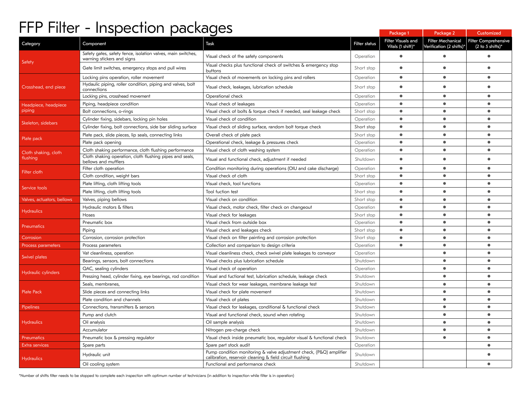## FFP Filter - Inspection packages

| . .<br>.                       | 1.155211211921133                                                                          |                                                                                                                                 |               | Package 1                               | Package 2                                     | Customized                                                          |
|--------------------------------|--------------------------------------------------------------------------------------------|---------------------------------------------------------------------------------------------------------------------------------|---------------|-----------------------------------------|-----------------------------------------------|---------------------------------------------------------------------|
| Category                       | Component                                                                                  | Task                                                                                                                            | Filter status | Filter Visuals and<br>Vitals (1 shift)* | Filter Mechanical<br>Verification (2 shifts)* | <b>Filter Comprehensive</b><br>$(2 \text{ to } 5 \text{ shifts})^*$ |
| Safety                         | Safety gates, safety fence, isolation valves, main switches,<br>warning stickers and signs | Visual check of the safety components                                                                                           | Operation     | $\bullet$                               | $\bullet$                                     | $\bullet$                                                           |
|                                | Gate limit switches, emergency stops and pull wires                                        | Visual checks plus functional check of switches $\delta$ emergency stop<br>buttons                                              | Short stop    |                                         | $\bullet$                                     | $\bullet$                                                           |
|                                | Locking pins operation, roller movement                                                    | Visual check of movements on locking pins and rollers                                                                           | Operation     | $\bullet$                               | $\bullet$                                     | $\bullet$                                                           |
| Crosshead, end piece           | Hydaulic piping, roller condition, piping and valves, bolt<br>connections                  | Visual check, leakages, lubrication schedule                                                                                    | Short stop    | $\bullet$                               | $\bullet$                                     |                                                                     |
|                                | Locking pins, crosshead movement                                                           | Operational check                                                                                                               | Operation     | $\bullet$                               | $\bullet$                                     | $\bullet$                                                           |
| Headpiece, headpiece<br>piping | Piping, headpiece condition                                                                | Visual check of leakages                                                                                                        | Operation     | $\bullet$                               | $\bullet$                                     | $\bullet$                                                           |
|                                | Bolt connections, o-rings                                                                  | Visual check of bolts & torque check if needed, seal leakage check                                                              | Short stop    | $\bullet$                               | $\qquad \qquad \bullet$                       | $\bullet$                                                           |
|                                | Cylinder fixing, sidebars, locking pin holes                                               | Visual check of condition                                                                                                       | Operation     | $\bullet$                               | $\bullet$                                     | $\bullet$                                                           |
| Skeleton, sidebars             | Cylinder fixing, bolt connections, side bar sliding surface                                | Visual check of sliding surface, random bolt torque check                                                                       | Short stop    | $\bullet$                               | $\bullet$                                     | $\bullet$                                                           |
|                                | Plate pack, slide pieces, lip seals, connecting links                                      | Overall check of plate pack                                                                                                     | Short stop    | $\bullet$                               | $\bullet$                                     | $\bullet$                                                           |
| Plate pack                     | Plate pack opening                                                                         | Operational check, leakage & pressures check                                                                                    | Operation     | $\bullet$                               | $\bullet$                                     | $\bullet$                                                           |
| Cloth shaking, cloth           | Cloth shaking performance, cloth flushing performance                                      | Visual check of cloth washing system                                                                                            | Operation     | $\bullet$                               | $\bullet$                                     | $\bullet$                                                           |
| flushing                       | Cloth shaking operation, cloth flushing pipes and seals,<br>bellows and mufflers           | Visual and functional check, adjustment if needed                                                                               | Shutdown      | $\bullet$                               |                                               |                                                                     |
| Filter cloth                   | Filter cloth operation                                                                     | Condition monitoring during operations (OIU and cake discharge)                                                                 | Operation     | $\bullet$                               | $\bullet$                                     | $\bullet$                                                           |
|                                | Cloth condition, weight bars                                                               | Visual check of cloth                                                                                                           | Short stop    | $\bullet$                               | $\bullet$                                     | $\bullet$                                                           |
| Service tools                  | Plate lifting, cloth lifting tools                                                         | Visual check, tool functions                                                                                                    | Operation     | $\bullet$                               | $\qquad \qquad \bullet$                       | $\bullet$                                                           |
|                                | Plate lifting, cloth lifting tools                                                         | Tool fuction test                                                                                                               | Short stop    | $\bullet$                               | $\bullet$                                     | $\bullet$                                                           |
| Valves, actuators, bellows     | Valves, piping bellows                                                                     | Visual check on condition                                                                                                       | Short stop    | $\bullet$                               | $\bullet$                                     | $\bullet$                                                           |
|                                | Hydraulic motors & filters                                                                 | Visual check, motor check, filter check on changeout                                                                            | Operation     | $\bullet$                               | $\bullet$                                     | $\bullet$                                                           |
| <b>Hydraulics</b>              | Hoses                                                                                      | Visual check for leakages                                                                                                       | Short stop    | $\bullet$                               | $\bullet$                                     | $\bullet$                                                           |
| Pneumatics                     | Pneumatic box                                                                              | Visual check from outside box                                                                                                   | Operation     | $\bullet$                               | $\bullet$                                     | $\bullet$                                                           |
|                                | Piping                                                                                     | Visual check and leakages check                                                                                                 | Short stop    | $\bullet$                               | $\bullet$                                     | $\bullet$                                                           |
| Corrosion                      | Corrosion, corrosion protection                                                            | Visual check on filter painting and corrosion protection                                                                        | Short stop    | $\bullet$                               | $\bullet$                                     | $\bullet$                                                           |
| Process parameters             | Process parameters                                                                         | Collection and comparison to design criteria                                                                                    | Operation     | $\bullet$                               | $\bullet$                                     | $\bullet$                                                           |
| Swivel plates                  | Vat cleanliness, operation                                                                 | Visual cleanliness check, check swivel plate leakages to conveyor                                                               | Operation     |                                         | $\bullet$                                     | $\bullet$                                                           |
|                                | Bearings, sensors, bolt connections                                                        | Visual checks plus lubrication schedule                                                                                         | Shutdown      |                                         | $\bullet$                                     | $\bullet$                                                           |
| Hydraulic cylinders            | QAC, sealing cylinders                                                                     | Visual check of operation                                                                                                       | Operation     |                                         | $\bullet$                                     | $\bullet$                                                           |
|                                | Pressing head, cylinder fixing, eye bearings, rod condition                                | Visual and fuctional test, lubrication schedule, leakage check                                                                  | Shutdown      |                                         | $\bullet$                                     | $\bullet$                                                           |
|                                | Seals, membranes,                                                                          | Visual check for wear leakages, membrane leakage test                                                                           | Shutdown      |                                         | $\bullet$                                     | $\bullet$                                                           |
| Plate Pack                     | Slide pieces and connecting links                                                          | Visual check for plate movement                                                                                                 | Shutdown      |                                         | $\bullet$                                     | $\bullet$                                                           |
|                                | Plate condition and channels                                                               | Visual check of plates                                                                                                          | Shutdown      |                                         | $\bullet$                                     | $\bullet$                                                           |
| Pipelines                      | Connections, transmitters $\delta$ sensors                                                 | Visual check for leakages, conditional & functional check                                                                       | Shutdown      |                                         | $\bullet$                                     | $\bullet$                                                           |
| <b>Hydraulics</b>              | Pump and clutch                                                                            | Visual and functional check, sound when rotating                                                                                | Shutdown      |                                         | $\bullet$                                     | $\bullet$                                                           |
|                                | Oil analysis                                                                               | Oil sample analysis                                                                                                             | Shutdown      |                                         | $\bullet$                                     | $\bullet$                                                           |
|                                | Accumulator                                                                                | Nitrogen pre-charge check                                                                                                       | Shutdown      |                                         | $\bullet$                                     | $\bullet$                                                           |
| Pneumatics                     | Pneumatic box $\delta$ pressing regulator                                                  | Visual check inside pneumatic box, regulator visual & functional check                                                          | Shutdown      |                                         | $\bullet$                                     | $\bullet$                                                           |
| Extra services                 | Spare parts                                                                                | Spare part stock audit                                                                                                          | Operation     |                                         |                                               | $\bullet$                                                           |
| <b>Hydraulics</b>              | Hydraulic unit                                                                             | Pump condition monitoring & valve adjustment check, (P&Q) amplifier<br>calibration, reservoir cleaning & field circuit flushing | Shutdown      |                                         |                                               |                                                                     |
|                                | Oil cooling system                                                                         | Functional and performance check                                                                                                | Shutdown      |                                         |                                               | $\bullet$                                                           |

\*Number of shifts filter needs to be stopped to complete each inspection with optimum number of technicians (in addition to inspection while filter is in operation)